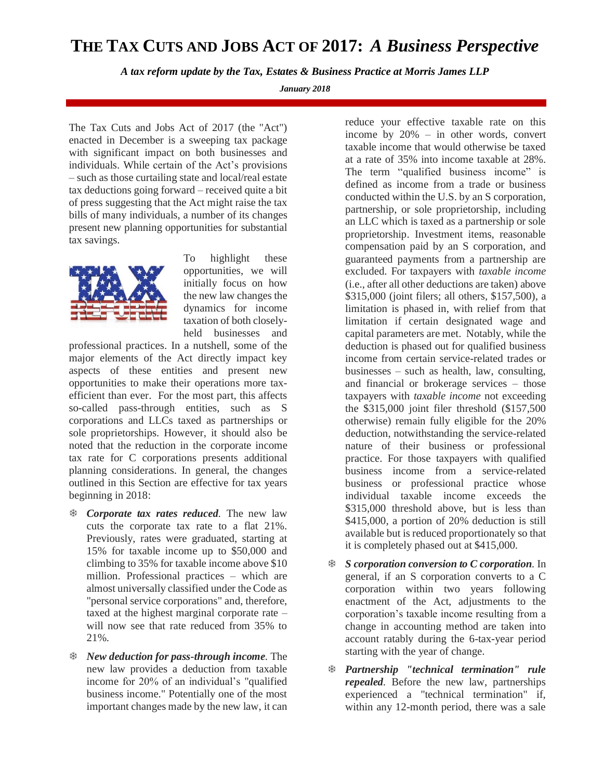## **THE TAX CUTS AND JOBS ACT OF 2017:** *A Business Perspective*

*A tax reform update by the Tax, Estates & Business Practice at Morris James LLP*

*January 2018*

The Tax Cuts and Jobs Act of 2017 (the "Act") enacted in December is a sweeping tax package with significant impact on both businesses and individuals. While certain of the Act's provisions – such as those curtailing state and local/real estate tax deductions going forward – received quite a bit of press suggesting that the Act might raise the tax bills of many individuals, a number of its changes present new planning opportunities for substantial tax savings.



To highlight these opportunities, we will initially focus on how the new law changes the dynamics for income taxation of both closelyheld businesses and

professional practices. In a nutshell, some of the major elements of the Act directly impact key aspects of these entities and present new opportunities to make their operations more taxefficient than ever. For the most part, this affects so-called pass-through entities, such as S corporations and LLCs taxed as partnerships or sole proprietorships. However, it should also be noted that the reduction in the corporate income tax rate for C corporations presents additional planning considerations. In general, the changes outlined in this Section are effective for tax years beginning in 2018:

- *Corporate tax rates reduced.* The new law cuts the corporate tax rate to a flat 21%. Previously, rates were graduated, starting at 15% for taxable income up to \$50,000 and climbing to 35% for taxable income above \$10 million. Professional practices – which are almost universally classified under the Code as "personal service corporations" and, therefore, taxed at the highest marginal corporate rate – will now see that rate reduced from 35% to 21%.
- *New deduction for pass-through income.* The new law provides a deduction from taxable income for 20% of an individual's "qualified business income." Potentially one of the most important changes made by the new law, it can

reduce your effective taxable rate on this income by 20% – in other words, convert taxable income that would otherwise be taxed at a rate of 35% into income taxable at 28%. The term "qualified business income" is defined as income from a trade or business conducted within the U.S. by an S corporation, partnership, or sole proprietorship, including an LLC which is taxed as a partnership or sole proprietorship. Investment items, reasonable compensation paid by an S corporation, and guaranteed payments from a partnership are excluded. For taxpayers with *taxable income* (i.e., after all other deductions are taken) above \$315,000 (joint filers; all others, \$157,500), a limitation is phased in, with relief from that limitation if certain designated wage and capital parameters are met. Notably, while the deduction is phased out for qualified business income from certain service-related trades or businesses – such as health, law, consulting, and financial or brokerage services – those taxpayers with *taxable income* not exceeding the \$315,000 joint filer threshold (\$157,500 otherwise) remain fully eligible for the 20% deduction, notwithstanding the service-related nature of their business or professional practice. For those taxpayers with qualified business income from a service-related business or professional practice whose individual taxable income exceeds the \$315,000 threshold above, but is less than \$415,000, a portion of 20% deduction is still available but is reduced proportionately so that it is completely phased out at \$415,000.

- *S corporation conversion to C corporation.* In general, if an S corporation converts to a C corporation within two years following enactment of the Act, adjustments to the corporation's taxable income resulting from a change in accounting method are taken into account ratably during the 6-tax-year period starting with the year of change.
- *Partnership "technical termination" rule repealed.* Before the new law, partnerships experienced a "technical termination" if, within any 12-month period, there was a sale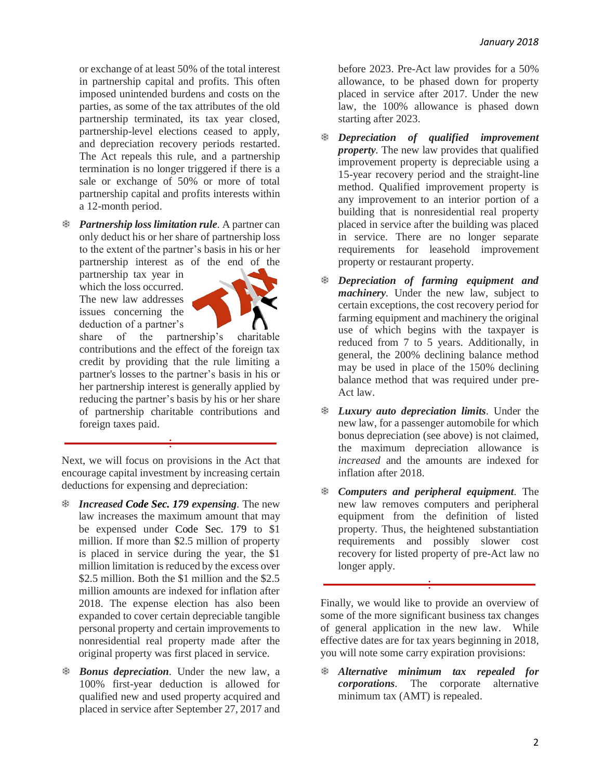or exchange of at least 50% of the total interest in partnership capital and profits. This often imposed unintended burdens and costs on the parties, as some of the tax attributes of the old partnership terminated, its tax year closed, partnership-level elections ceased to apply, and depreciation recovery periods restarted. The Act repeals this rule, and a partnership termination is no longer triggered if there is a sale or exchange of 50% or more of total partnership capital and profits interests within a 12-month period.

 *Partnership loss limitation rule.* A partner can only deduct his or her share of partnership loss to the extent of the partner's basis in his or her partnership interest as of the end of the

partnership tax year in which the loss occurred. The new law addresses issues concerning the deduction of a partner's



share of the partnership's charitable contributions and the effect of the foreign tax credit by providing that the rule limiting a partner's losses to the partner's basis in his or her partnership interest is generally applied by reducing the partner's basis by his or her share of partnership charitable contributions and foreign taxes paid.

Next, we will focus on provisions in the Act that encourage capital investment by increasing certain deductions for expensing and depreciation:

- *Increased [Code Sec. 179](https://checkpoint.riag.com/app/find?begParm=y&app.version=17.12&dbName=TCODE&linkType=docloc&locId=26uscas179&permaId=i94e7e2c219d711dcb1a9c7f8ee2eaa77&tagName=SEC&endParm=y) expensing.* The new law increases the maximum amount that may be expensed under [Code Sec. 179](https://checkpoint.riag.com/app/find?begParm=y&app.version=17.12&dbName=TCODE&linkType=docloc&locId=26uscas179&permaId=i94e7e2c219d711dcb1a9c7f8ee2eaa77&tagName=SEC&endParm=y) to \$1 million. If more than \$2.5 million of property is placed in service during the year, the \$1 million limitation is reduced by the excess over \$2.5 million. Both the \$1 million and the \$2.5 million amounts are indexed for inflation after 2018. The expense election has also been expanded to cover certain depreciable tangible personal property and certain improvements to nonresidential real property made after the original property was first placed in service.
- *Bonus depreciation.* Under the new law, a 100% first-year deduction is allowed for qualified new and used property acquired and placed in service after September 27, 2017 and

before 2023. Pre-Act law provides for a 50% allowance, to be phased down for property placed in service after 2017. Under the new law, the 100% allowance is phased down starting after 2023.

- *Depreciation of qualified improvement property.* The new law provides that qualified improvement property is depreciable using a 15-year recovery period and the straight-line method. Qualified improvement property is any improvement to an interior portion of a building that is nonresidential real property placed in service after the building was placed in service. There are no longer separate requirements for leasehold improvement property or restaurant property.
- *Depreciation of farming equipment and machinery.* Under the new law, subject to certain exceptions, the cost recovery period for farming equipment and machinery the original use of which begins with the taxpayer is reduced from 7 to 5 years. Additionally, in general, the 200% declining balance method may be used in place of the 150% declining balance method that was required under pre-Act law.
- *Luxury auto depreciation limits.* Under the new law, for a passenger automobile for which bonus depreciation (see above) is not claimed, the maximum depreciation allowance is *increased* and the amounts are indexed for inflation after 2018.
- *Computers and peripheral equipment.* The new law removes computers and peripheral equipment from the definition of listed property. Thus, the heightened substantiation requirements and possibly slower cost recovery for listed property of pre-Act law no longer apply.

Finally, we would like to provide an overview of some of the more significant business tax changes of general application in the new law. While effective dates are for tax years beginning in 2018, you will note some carry expiration provisions:

 *Alternative minimum tax repealed for corporations.* The corporate alternative minimum tax (AMT) is repealed.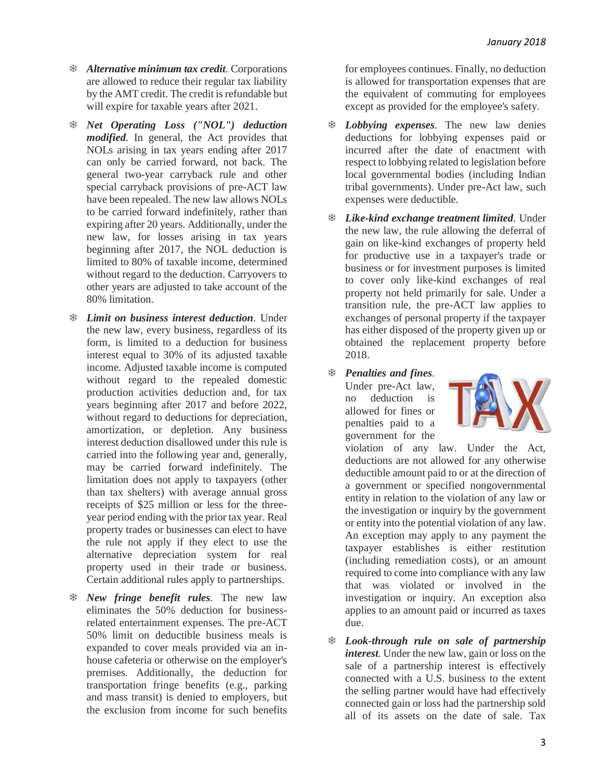- *Alternative minimum tax credit.* Corporations are allowed to reduce their regular tax liability by the AMT credit. The credit is refundable but will expire for taxable years after 2021.
- *Net Operating Loss ("NOL") deduction modified.* In general, the Act provides that NOLs arising in tax years ending after 2017 can only be carried forward, not back. The general two-year carryback rule and other special carryback provisions of pre-ACT law have been repealed. The new law allows NOLs to be carried forward indefinitely, rather than expiring after 20 years. Additionally, under the new law, for losses arising in tax years beginning after 2017, the NOL deduction is limited to 80% of taxable income, determined without regard to the deduction. Carryovers to other years are adjusted to take account of the 80% limitation.
- *Limit on business interest deduction.* Under the new law, every business, regardless of its form, is limited to a deduction for business interest equal to 30% of its adjusted taxable income. Adjusted taxable income is computed without regard to the repealed domestic production activities deduction and, for tax years beginning after 2017 and before 2022, without regard to deductions for depreciation, amortization, or depletion. Any business interest deduction disallowed under this rule is carried into the following year and, generally, may be carried forward indefinitely. The limitation does not apply to taxpayers (other than tax shelters) with average annual gross receipts of \$25 million or less for the threeyear period ending with the prior tax year. Real property trades or businesses can elect to have the rule not apply if they elect to use the alternative depreciation system for real property used in their trade or business. Certain additional rules apply to partnerships.
- *New fringe benefit rules.* The new law eliminates the 50% deduction for businessrelated entertainment expenses. The pre-ACT 50% limit on deductible business meals is expanded to cover meals provided via an inhouse cafeteria or otherwise on the employer's premises. Additionally, the deduction for transportation fringe benefits (e.g., parking and mass transit) is denied to employers, but the exclusion from income for such benefits

for employees continues. Finally, no deduction is allowed for transportation expenses that are the equivalent of commuting for employees except as provided for the employee's safety.

- *Lobbying expenses.* The new law denies deductions for lobbying expenses paid or incurred after the date of enactment with respect to lobbying related to legislation before local governmental bodies (including Indian tribal governments). Under pre-Act law, such expenses were deductible.
- *Like-kind exchange treatment limited.* Under the new law, the rule allowing the deferral of gain on like-kind exchanges of property held for productive use in a taxpayer's trade or business or for investment purposes is limited to cover only like-kind exchanges of real property not held primarily for sale. Under a transition rule, the pre-ACT law applies to exchanges of personal property if the taxpayer has either disposed of the property given up or obtained the replacement property before 2018.
- *Penalties and fines.*

Under pre-Act law, no deduction is allowed for fines or penalties paid to a government for the



violation of any law. Under the Act, deductions are not allowed for any otherwise deductible amount paid to or at the direction of a government or specified nongovernmental entity in relation to the violation of any law or the investigation or inquiry by the government or entity into the potential violation of any law. An exception may apply to any payment the taxpayer establishes is either restitution (including remediation costs), or an amount required to come into compliance with any law that was violated or involved in the investigation or inquiry. An exception also applies to an amount paid or incurred as taxes due.

 *Look-through rule on sale of partnership interest.* Under the new law, gain or loss on the sale of a partnership interest is effectively connected with a U.S. business to the extent the selling partner would have had effectively connected gain or loss had the partnership sold all of its assets on the date of sale. Tax